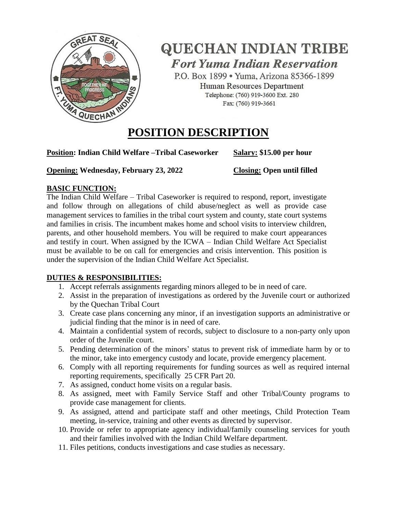

# **QUECHAN INDIAN TRIBE Fort Yuma Indian Reservation**

P.O. Box 1899 · Yuma, Arizona 85366-1899 Human Resources Department Telephone: (760) 919-3600 Ext. 280 Fax: (760) 919-3661

# **POSITION DESCRIPTION**

# **Position: Indian Child Welfare –Tribal Caseworker Salary: \$15.00 per hour**

**Opening: Wednesday, February 23, 2022 Closing: Open until filled**

# **BASIC FUNCTION:**

The Indian Child Welfare – Tribal Caseworker is required to respond, report, investigate and follow through on allegations of child abuse/neglect as well as provide case management services to families in the tribal court system and county, state court systems and families in crisis. The incumbent makes home and school visits to interview children, parents, and other household members. You will be required to make court appearances and testify in court. When assigned by the ICWA – Indian Child Welfare Act Specialist must be available to be on call for emergencies and crisis intervention. This position is under the supervision of the Indian Child Welfare Act Specialist.

# **DUTIES & RESPONSIBILITIES:**

- 1. Accept referrals assignments regarding minors alleged to be in need of care.
- 2. Assist in the preparation of investigations as ordered by the Juvenile court or authorized by the Quechan Tribal Court
- 3. Create case plans concerning any minor, if an investigation supports an administrative or judicial finding that the minor is in need of care.
- 4. Maintain a confidential system of records, subject to disclosure to a non-party only upon order of the Juvenile court.
- 5. Pending determination of the minors' status to prevent risk of immediate harm by or to the minor, take into emergency custody and locate, provide emergency placement.
- 6. Comply with all reporting requirements for funding sources as well as required internal reporting requirements, specifically 25 CFR Part 20.
- 7. As assigned, conduct home visits on a regular basis.
- 8. As assigned, meet with Family Service Staff and other Tribal/County programs to provide case management for clients.
- 9. As assigned, attend and participate staff and other meetings, Child Protection Team meeting, in-service, training and other events as directed by supervisor.
- 10. Provide or refer to appropriate agency individual/family counseling services for youth and their families involved with the Indian Child Welfare department.
- 11. Files petitions, conducts investigations and case studies as necessary.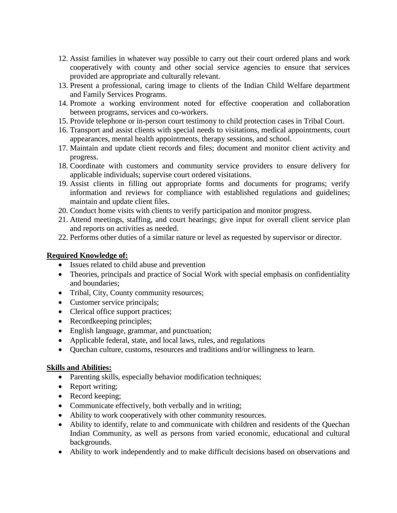- 12. Assist families in whatever way possible to carry out their court ordered plans and work cooperatively with county and other social service agencies to ensure that services provided are appropriate and culturally relevant.
- 13. Present a professional, caring image to clients of the Indian Child Welfare department and Family Services Programs.
- 14. Promote a working environment noted for effective cooperation and collaboration between programs, services and co-workers.
- 15. Provide telephone or in-person court testimony to child protection cases in Tribal Court.
- 16. Transport and assist clients with special needs to visitations, medical appointments, court appearances, mental health appointments, therapy sessions, and school.
- 17. Maintain and update client records and files; document and monitor client activity and progress.
- 18. Coordinate with customers and community service providers to ensure delivery for applicable individuals; supervise court ordered visitations.
- 19. Assist clients in filling out appropriate forms and documents for programs; verify information and reviews for compliance with established regulations and guidelines; maintain and update client files.
- 20. Conduct home visits with clients to verify participation and monitor progress.
- 21. Attend meetings, staffing, and court hearings; give input for overall client service plan and reports on activities as needed.
- 22. Performs other duties of a similar nature or level as requested by supervisor or director.

# **Required Knowledge of:**

- Issues related to child abuse and prevention
- Theories, principals and practice of Social Work with special emphasis on confidentiality and boundaries;
- Tribal, City, County community resources;
- Customer service principals;
- Clerical office support practices;
- Recordkeeping principles;
- English language, grammar, and punctuation;
- Applicable federal, state, and local laws, rules, and regulations
- Quechan culture, customs, resources and traditions and/or willingness to learn.

### **Skills and Abilities:**

- Parenting skills, especially behavior modification techniques;
- Report writing;
- Record keeping:
- Communicate effectively, both verbally and in writing;
- Ability to work cooperatively with other community resources.
- Ability to identify, relate to and communicate with children and residents of the Quechan Indian Community, as well as persons from varied economic, educational and cultural backgrounds.
- Ability to work independently and to make difficult decisions based on observations and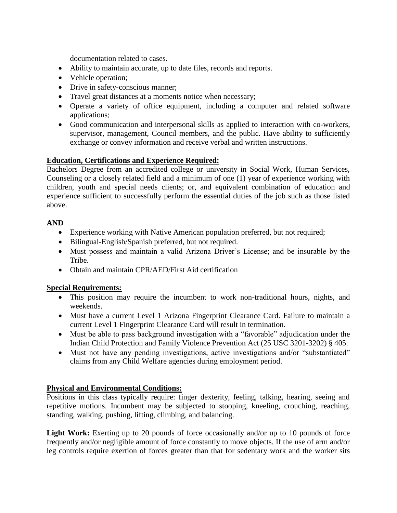documentation related to cases.

- Ability to maintain accurate, up to date files, records and reports.
- Vehicle operation;
- Drive in safety-conscious manner;
- Travel great distances at a moments notice when necessary;
- Operate a variety of office equipment, including a computer and related software applications;
- Good communication and interpersonal skills as applied to interaction with co-workers, supervisor, management, Council members, and the public. Have ability to sufficiently exchange or convey information and receive verbal and written instructions.

### **Education, Certifications and Experience Required:**

Bachelors Degree from an accredited college or university in Social Work, Human Services, Counseling or a closely related field and a minimum of one (1) year of experience working with children, youth and special needs clients; or, and equivalent combination of education and experience sufficient to successfully perform the essential duties of the job such as those listed above.

### **AND**

- Experience working with Native American population preferred, but not required;
- Bilingual-English/Spanish preferred, but not required.
- Must possess and maintain a valid Arizona Driver's License; and be insurable by the Tribe.
- Obtain and maintain CPR/AED/First Aid certification

### **Special Requirements:**

- This position may require the incumbent to work non-traditional hours, nights, and weekends.
- Must have a current Level 1 Arizona Fingerprint Clearance Card. Failure to maintain a current Level 1 Fingerprint Clearance Card will result in termination.
- Must be able to pass background investigation with a "favorable" adjudication under the Indian Child Protection and Family Violence Prevention Act (25 USC 3201-3202) § 405.
- Must not have any pending investigations, active investigations and/or "substantiated" claims from any Child Welfare agencies during employment period.

# **Physical and Environmental Conditions:**

Positions in this class typically require: finger dexterity, feeling, talking, hearing, seeing and repetitive motions. Incumbent may be subjected to stooping, kneeling, crouching, reaching, standing, walking, pushing, lifting, climbing, and balancing.

**Light Work:** Exerting up to 20 pounds of force occasionally and/or up to 10 pounds of force frequently and/or negligible amount of force constantly to move objects. If the use of arm and/or leg controls require exertion of forces greater than that for sedentary work and the worker sits